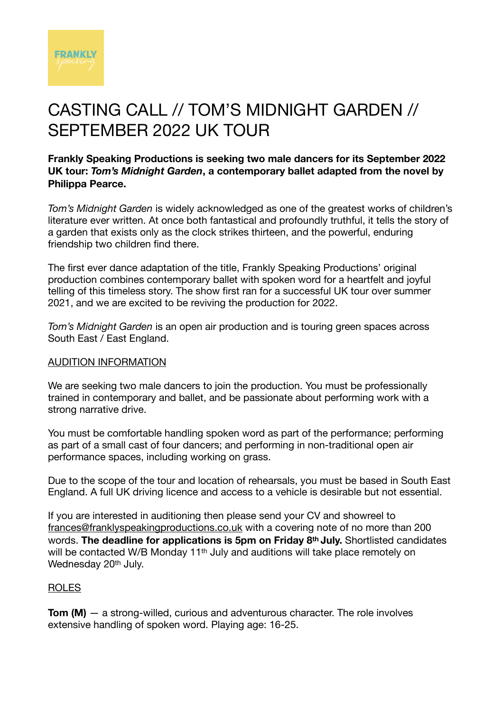

## CASTING CALL // TOM'S MIDNIGHT GARDEN // SEPTEMBER 2022 UK TOUR

**Frankly Speaking Productions is seeking two male dancers for its September 2022 UK tour:** *Tom's Midnight Garden***, a contemporary ballet adapted from the novel by Philippa Pearce.** 

*Tom's Midnight Garden* is widely acknowledged as one of the greatest works of children's literature ever written. At once both fantastical and profoundly truthful, it tells the story of a garden that exists only as the clock strikes thirteen, and the powerful, enduring friendship two children find there.

The first ever dance adaptation of the title, Frankly Speaking Productions' original production combines contemporary ballet with spoken word for a heartfelt and joyful telling of this timeless story. The show first ran for a successful UK tour over summer 2021, and we are excited to be reviving the production for 2022.

*Tom's Midnight Garden* is an open air production and is touring green spaces across South East / East England.

## AUDITION INFORMATION

We are seeking two male dancers to join the production. You must be professionally trained in contemporary and ballet, and be passionate about performing work with a strong narrative drive.

You must be comfortable handling spoken word as part of the performance; performing as part of a small cast of four dancers; and performing in non-traditional open air performance spaces, including working on grass.

Due to the scope of the tour and location of rehearsals, you must be based in South East England. A full UK driving licence and access to a vehicle is desirable but not essential.

If you are interested in auditioning then please send your CV and showreel to [frances@franklyspeakingproductions.co.uk](mailto:producer@franklyspeakingproductions.co.uk) with a covering note of no more than 200 words. **The deadline for applications is 5pm on Friday 8th July.** Shortlisted candidates will be contacted W/B Monday 11<sup>th</sup> July and auditions will take place remotely on Wednesday 20<sup>th</sup> July.

## ROLES

**Tom (M)** — a strong-willed, curious and adventurous character. The role involves extensive handling of spoken word. Playing age: 16-25.